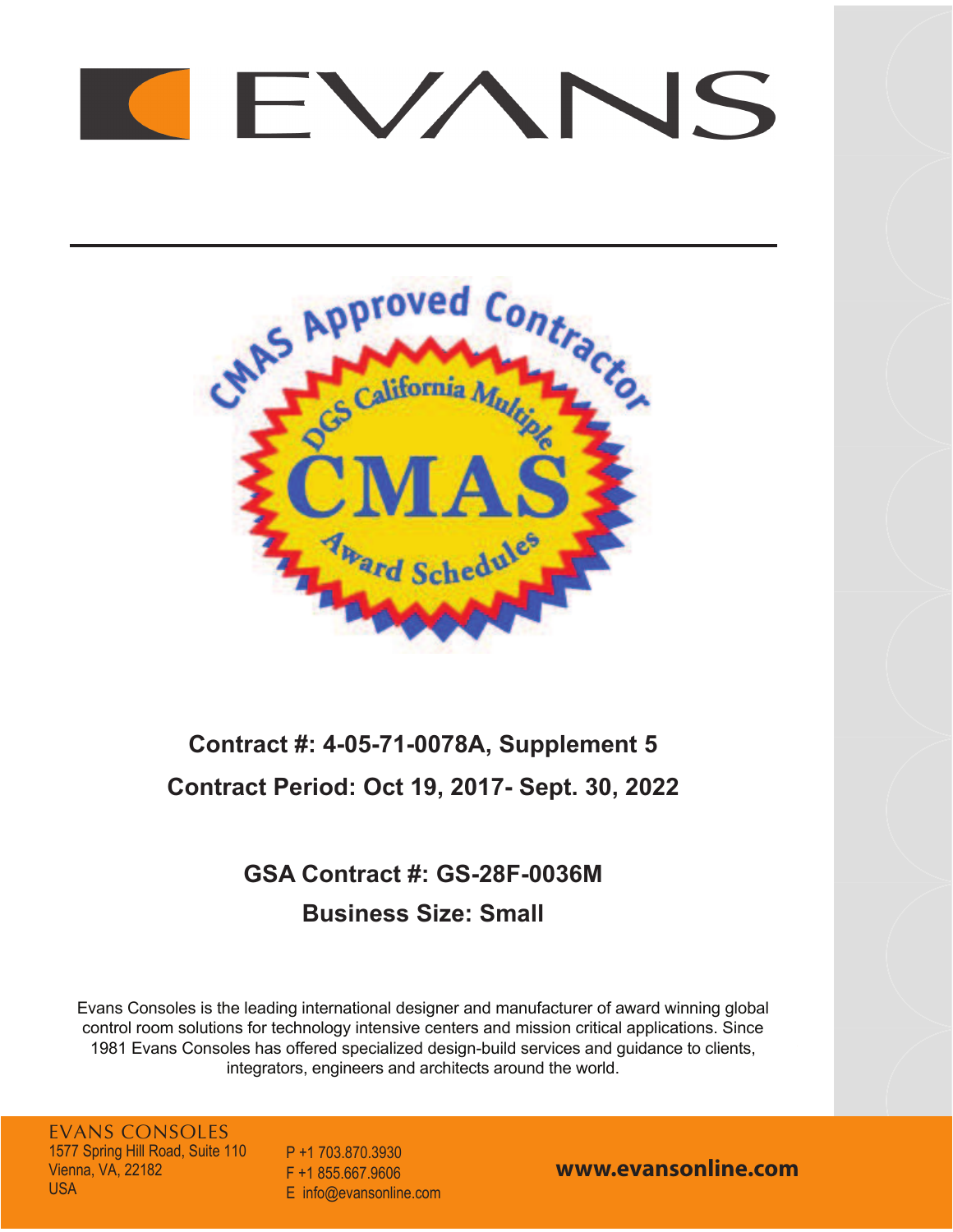# NS  $\vdash$   $\vee$



# **Contract #: 4-05-71-0078A, Supplement Contract Period: Oct , 201- Sept. 30, 20**

## **GSA Contract #: GS-28F-0036M Business Size: Small**

Evans Consoles is the leading international designer and manufacturer of award winning global control room solutions for technology intensive centers and mission critical applications. Since 1981 Evans Consoles has offered specialized design-build services and guidance to clients, integrators, engineers and architects around the world.

EVANS CONSOLES 1577 Spring Hill Road, Suite 110 Vienna, VA, 22182 USA

P +1 703.870.3930 F +1 855.667.9606 E info@evansonline.com

**www.evansonline.com**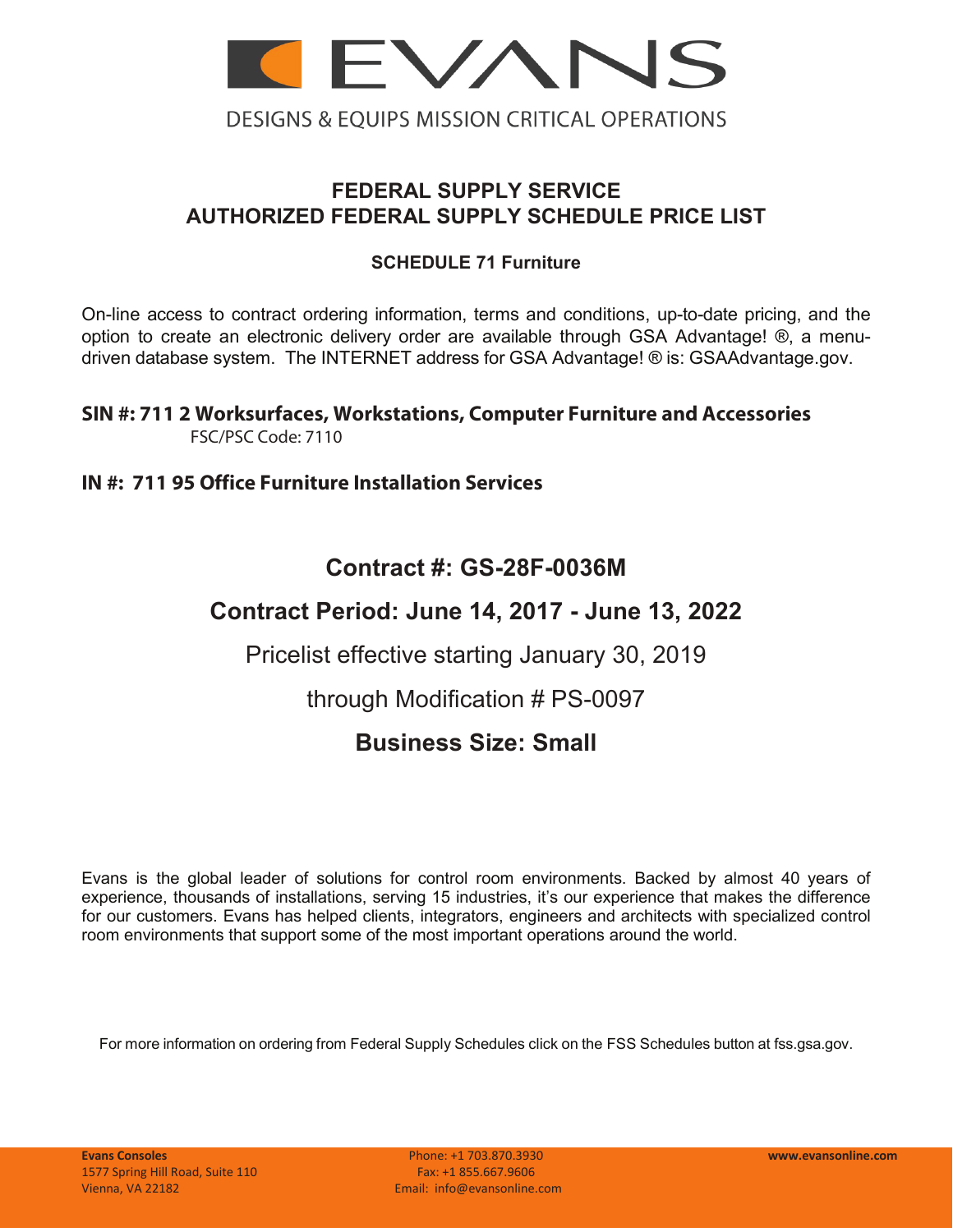

### **FEDERAL SUPPLY SERVICE AUTHORIZED FEDERAL SUPPLY SCHEDULE PRICE LIST**

### **SCHEDULE 71 Furniture**

On-line access to contract ordering information, terms and conditions, up-to-date pricing, and the option to create an electronic delivery order are available through GSA Advantage! ®, a menudriven database system. The INTERNET address for GSA Advantage! ® is: GSAAdvantage.gov.

#### **SIN #: 711 2 Worksurfaces, Workstations, Computer Furniture and Accessories** FSC/PSC Code: 7110

### **IN #: 711 95 Office Furniture Installation Services**

### **Contract #: GS-28F-0036M**

### **Contract Period: June 14, 2017 - June 13, 2022**

Pricelist effective starting January 30, 2019

through Modification # PS-0097

### **Business Size: Small**

Evans is the global leader of solutions for control room environments. Backed by almost 40 years of experience, thousands of installations, serving 15 industries, it's our experience that makes the difference for our customers. Evans has helped clients, integrators, engineers and architects with specialized control room environments that support some of the most important operations around the world.

For more information on ordering from Federal Supply Schedules click on the FSS Schedules button at fss.gsa.gov.

**Evans Consoles** Phone: +1 703.870.3930 **www.evansonline.com**